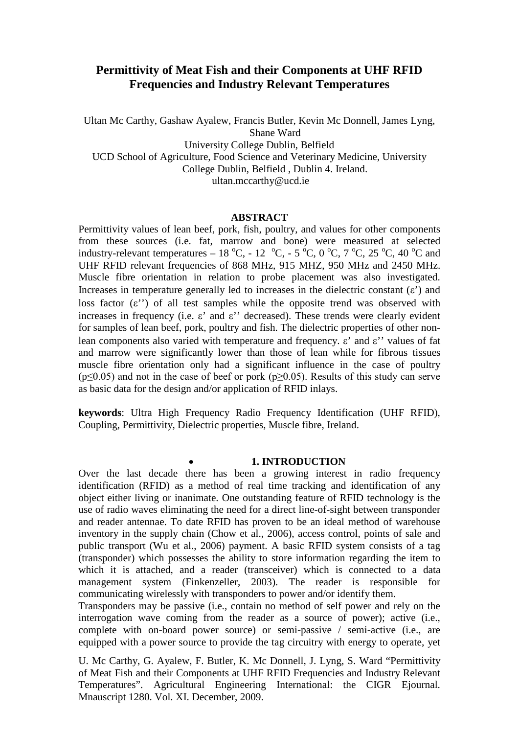# **Permittivity of Meat Fish and their Components at UHF RFID Frequencies and Industry Relevant Temperatures**

Ultan Mc Carthy, Gashaw Ayalew, Francis Butler, Kevin Mc Donnell, James Lyng, Shane Ward University College Dublin, Belfield UCD School of Agriculture, Food Science and Veterinary Medicine, University College Dublin, Belfield , Dublin 4. Ireland. ultan.mccarthy@ucd.ie

#### **ABSTRACT**

Permittivity values of lean beef, pork, fish, poultry, and values for other components from these sources (i.e. fat, marrow and bone) were measured at selected industry-relevant temperatures – 18 °C, - 12 °C, - 5 °C, 0 °C, 7 °C, 25 °C, 40 °C and UHF RFID relevant frequencies of 868 MHz, 915 MHZ, 950 MHz and 2450 MHz. Muscle fibre orientation in relation to probe placement was also investigated. Increases in temperature generally led to increases in the dielectric constant  $(\epsilon)$  and loss factor  $(\varepsilon'')$  of all test samples while the opposite trend was observed with increases in frequency (i.e.  $\varepsilon$ ' and  $\varepsilon$ '' decreased). These trends were clearly evident for samples of lean beef, pork, poultry and fish. The dielectric properties of other nonlean components also varied with temperature and frequency. ε' and ε'' values of fat and marrow were significantly lower than those of lean while for fibrous tissues muscle fibre orientation only had a significant influence in the case of poultry ( $p \le 0.05$ ) and not in the case of beef or pork ( $p \ge 0.05$ ). Results of this study can serve as basic data for the design and/or application of RFID inlays.

**keywords**: Ultra High Frequency Radio Frequency Identification (UHF RFID), Coupling, Permittivity, Dielectric properties, Muscle fibre, Ireland.

#### • **1. INTRODUCTION**

Over the last decade there has been a growing interest in radio frequency identification (RFID) as a method of real time tracking and identification of any object either living or inanimate. One outstanding feature of RFID technology is the use of radio waves eliminating the need for a direct line-of-sight between transponder and reader antennae. To date RFID has proven to be an ideal method of warehouse inventory in the supply chain (Chow et al., 2006), access control, points of sale and public transport (Wu et al., 2006) payment. A basic RFID system consists of a tag (transponder) which possesses the ability to store information regarding the item to which it is attached, and a reader (transceiver) which is connected to a data management system (Finkenzeller, 2003). The reader is responsible for communicating wirelessly with transponders to power and/or identify them.

Transponders may be passive (i.e., contain no method of self power and rely on the interrogation wave coming from the reader as a source of power); active (i.e., complete with on-board power source) or semi-passive / semi-active (i.e., are equipped with a power source to provide the tag circuitry with energy to operate, yet

U. Mc Carthy, G. Ayalew, F. Butler, K. Mc Donnell, J. Lyng, S. Ward "Permittivity of Meat Fish and their Components at UHF RFID Frequencies and Industry Relevant Temperatures". Agricultural Engineering International: the CIGR Ejournal. Mnauscript 1280. Vol. XI. December, 2009.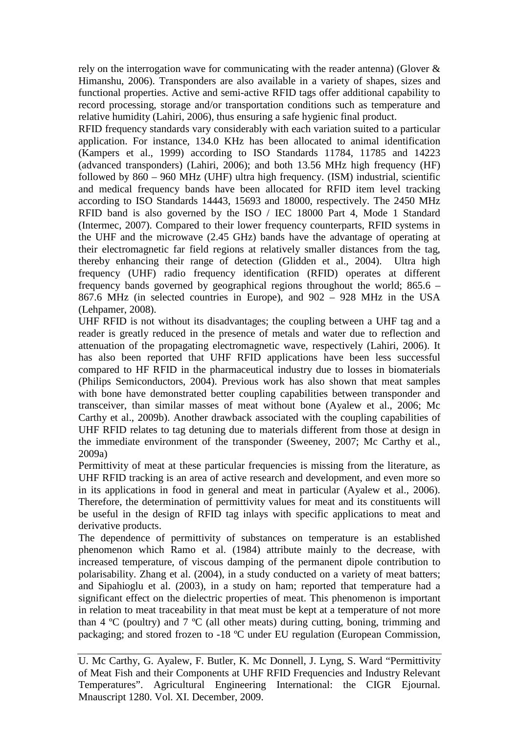rely on the interrogation wave for communicating with the reader antenna) (Glover & Himanshu, 2006). Transponders are also available in a variety of shapes, sizes and functional properties. Active and semi-active RFID tags offer additional capability to record processing, storage and/or transportation conditions such as temperature and relative humidity (Lahiri, 2006), thus ensuring a safe hygienic final product.

RFID frequency standards vary considerably with each variation suited to a particular application. For instance, 134.0 KHz has been allocated to animal identification (Kampers et al., 1999) according to ISO Standards 11784, 11785 and 14223 (advanced transponders) (Lahiri, 2006); and both 13.56 MHz high frequency (HF) followed by 860 – 960 MHz (UHF) ultra high frequency. (ISM) industrial, scientific and medical frequency bands have been allocated for RFID item level tracking according to ISO Standards 14443, 15693 and 18000, respectively. The 2450 MHz RFID band is also governed by the ISO / IEC 18000 Part 4, Mode 1 Standard (Intermec, 2007). Compared to their lower frequency counterparts, RFID systems in the UHF and the microwave (2.45 GHz) bands have the advantage of operating at their electromagnetic far field regions at relatively smaller distances from the tag, thereby enhancing their range of detection (Glidden et al., 2004). Ultra high frequency (UHF) radio frequency identification (RFID) operates at different frequency bands governed by geographical regions throughout the world; 865.6 – 867.6 MHz (in selected countries in Europe), and 902 – 928 MHz in the USA (Lehpamer, 2008).

UHF RFID is not without its disadvantages; the coupling between a UHF tag and a reader is greatly reduced in the presence of metals and water due to reflection and attenuation of the propagating electromagnetic wave, respectively (Lahiri, 2006). It has also been reported that UHF RFID applications have been less successful compared to HF RFID in the pharmaceutical industry due to losses in biomaterials (Philips Semiconductors, 2004). Previous work has also shown that meat samples with bone have demonstrated better coupling capabilities between transponder and transceiver, than similar masses of meat without bone (Ayalew et al., 2006; Mc Carthy et al., 2009b). Another drawback associated with the coupling capabilities of UHF RFID relates to tag detuning due to materials different from those at design in the immediate environment of the transponder (Sweeney, 2007; Mc Carthy et al., 2009a)

Permittivity of meat at these particular frequencies is missing from the literature, as UHF RFID tracking is an area of active research and development, and even more so in its applications in food in general and meat in particular (Ayalew et al., 2006). Therefore, the determination of permittivity values for meat and its constituents will be useful in the design of RFID tag inlays with specific applications to meat and derivative products.

The dependence of permittivity of substances on temperature is an established phenomenon which Ramo et al. (1984) attribute mainly to the decrease, with increased temperature, of viscous damping of the permanent dipole contribution to polarisability. Zhang et al. (2004), in a study conducted on a variety of meat batters; and Sipahioglu et al. (2003), in a study on ham; reported that temperature had a significant effect on the dielectric properties of meat. This phenomenon is important in relation to meat traceability in that meat must be kept at a temperature of not more than 4  $\rm{^{\circ}C}$  (poultry) and 7  $\rm{^{\circ}C}$  (all other meats) during cutting, boning, trimming and packaging; and stored frozen to -18 ºC under EU regulation (European Commission,

U. Mc Carthy, G. Ayalew, F. Butler, K. Mc Donnell, J. Lyng, S. Ward "Permittivity of Meat Fish and their Components at UHF RFID Frequencies and Industry Relevant Temperatures". Agricultural Engineering International: the CIGR Ejournal. Mnauscript 1280. Vol. XI. December, 2009.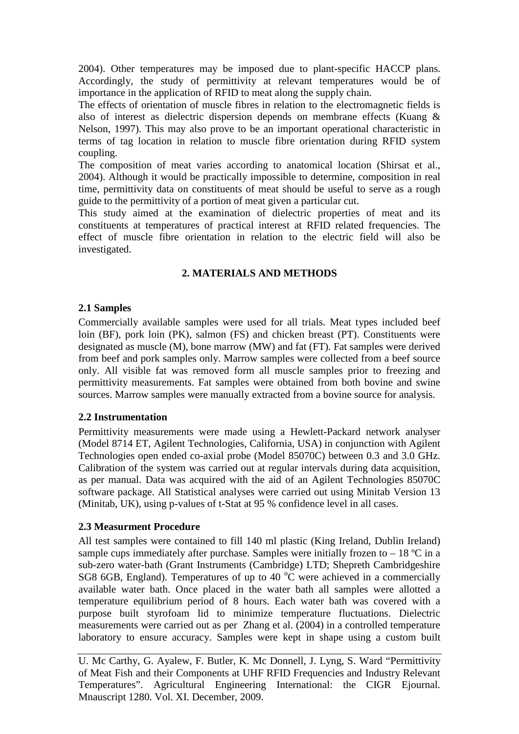2004). Other temperatures may be imposed due to plant-specific HACCP plans. Accordingly, the study of permittivity at relevant temperatures would be of importance in the application of RFID to meat along the supply chain.

The effects of orientation of muscle fibres in relation to the electromagnetic fields is also of interest as dielectric dispersion depends on membrane effects (Kuang & Nelson, 1997). This may also prove to be an important operational characteristic in terms of tag location in relation to muscle fibre orientation during RFID system coupling.

The composition of meat varies according to anatomical location (Shirsat et al., 2004). Although it would be practically impossible to determine, composition in real time, permittivity data on constituents of meat should be useful to serve as a rough guide to the permittivity of a portion of meat given a particular cut.

This study aimed at the examination of dielectric properties of meat and its constituents at temperatures of practical interest at RFID related frequencies. The effect of muscle fibre orientation in relation to the electric field will also be investigated.

# **2. MATERIALS AND METHODS**

# **2.1 Samples**

Commercially available samples were used for all trials. Meat types included beef loin (BF), pork loin (PK), salmon (FS) and chicken breast (PT). Constituents were designated as muscle (M), bone marrow (MW) and fat (FT). Fat samples were derived from beef and pork samples only. Marrow samples were collected from a beef source only. All visible fat was removed form all muscle samples prior to freezing and permittivity measurements. Fat samples were obtained from both bovine and swine sources. Marrow samples were manually extracted from a bovine source for analysis.

# **2.2 Instrumentation**

Permittivity measurements were made using a Hewlett-Packard network analyser (Model 8714 ET, Agilent Technologies, California, USA) in conjunction with Agilent Technologies open ended co-axial probe (Model 85070C) between 0.3 and 3.0 GHz. Calibration of the system was carried out at regular intervals during data acquisition, as per manual. Data was acquired with the aid of an Agilent Technologies 85070C software package. All Statistical analyses were carried out using Minitab Version 13 (Minitab, UK), using p-values of t-Stat at 95 % confidence level in all cases.

# **2.3 Measurment Procedure**

All test samples were contained to fill 140 ml plastic (King Ireland, Dublin Ireland) sample cups immediately after purchase. Samples were initially frozen to  $-18$  °C in a sub-zero water-bath (Grant Instruments (Cambridge) LTD; Shepreth Cambridgeshire SG8 6GB, England). Temperatures of up to 40  $^{\circ}$ C were achieved in a commercially available water bath. Once placed in the water bath all samples were allotted a temperature equilibrium period of 8 hours. Each water bath was covered with a purpose built styrofoam lid to minimize temperature fluctuations. Dielectric measurements were carried out as per Zhang et al. (2004) in a controlled temperature laboratory to ensure accuracy. Samples were kept in shape using a custom built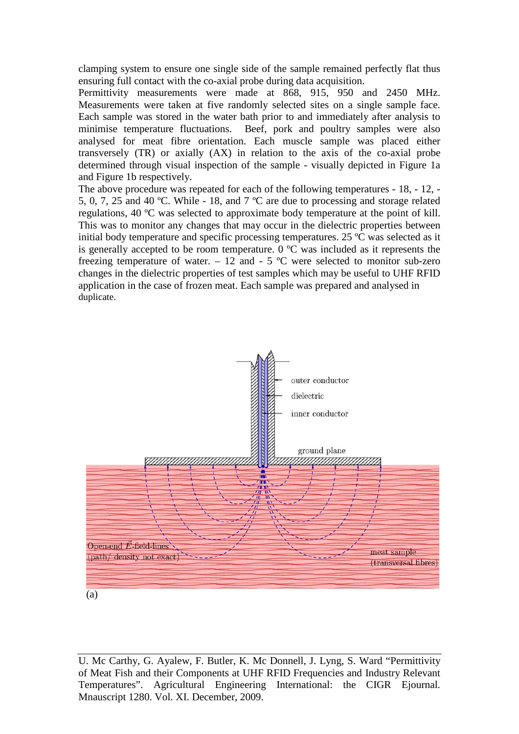clamping system to ensure one single side of the sample remained perfectly flat thus ensuring full contact with the co-axial probe during data acquisition.

Permittivity measurements were made at 868, 915, 950 and 2450 MHz. Measurements were taken at five randomly selected sites on a single sample face. Each sample was stored in the water bath prior to and immediately after analysis to minimise temperature fluctuations. Beef, pork and poultry samples were also analysed for meat fibre orientation. Each muscle sample was placed either transversely (TR) or axially (AX) in relation to the axis of the co-axial probe determined through visual inspection of the sample - visually depicted in Figure 1a and Figure 1b respectively.

The above procedure was repeated for each of the following temperatures - 18, - 12, - 5, 0, 7, 25 and 40 ºC. While - 18, and 7 ºC are due to processing and storage related regulations, 40 ºC was selected to approximate body temperature at the point of kill. This was to monitor any changes that may occur in the dielectric properties between initial body temperature and specific processing temperatures. 25 ºC was selected as it is generally accepted to be room temperature. 0 ºC was included as it represents the freezing temperature of water.  $-12$  and  $-5$  °C were selected to monitor sub-zero changes in the dielectric properties of test samples which may be useful to UHF RFID application in the case of frozen meat. Each sample was prepared and analysed in duplicate.



U. Mc Carthy, G. Ayalew, F. Butler, K. Mc Donnell, J. Lyng, S. Ward "Permittivity of Meat Fish and their Components at UHF RFID Frequencies and Industry Relevant Temperatures". Agricultural Engineering International: the CIGR Ejournal. Mnauscript 1280. Vol. XI. December, 2009.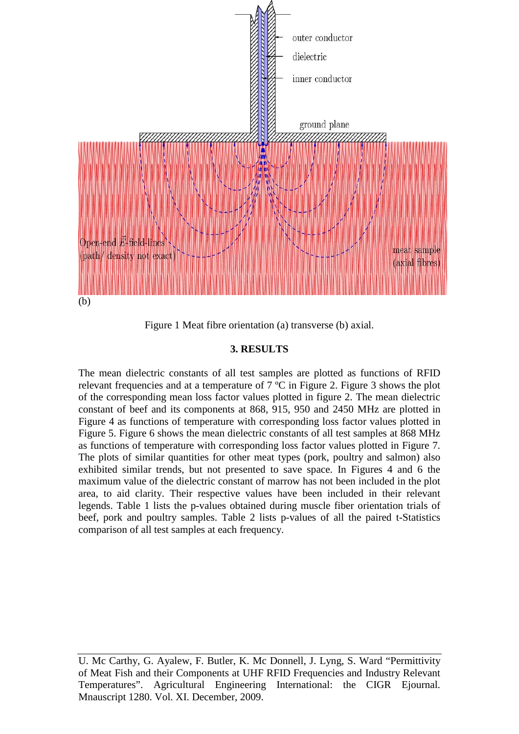

Figure 1 Meat fibre orientation (a) transverse (b) axial.

# **3. RESULTS**

The mean dielectric constants of all test samples are plotted as functions of RFID relevant frequencies and at a temperature of 7 ºC in Figure 2. Figure 3 shows the plot of the corresponding mean loss factor values plotted in figure 2. The mean dielectric constant of beef and its components at 868, 915, 950 and 2450 MHz are plotted in Figure 4 as functions of temperature with corresponding loss factor values plotted in Figure 5. Figure 6 shows the mean dielectric constants of all test samples at 868 MHz as functions of temperature with corresponding loss factor values plotted in Figure 7. The plots of similar quantities for other meat types (pork, poultry and salmon) also exhibited similar trends, but not presented to save space. In Figures 4 and 6 the maximum value of the dielectric constant of marrow has not been included in the plot area, to aid clarity. Their respective values have been included in their relevant legends. Table 1 lists the p-values obtained during muscle fiber orientation trials of beef, pork and poultry samples. Table 2 lists p-values of all the paired t-Statistics comparison of all test samples at each frequency.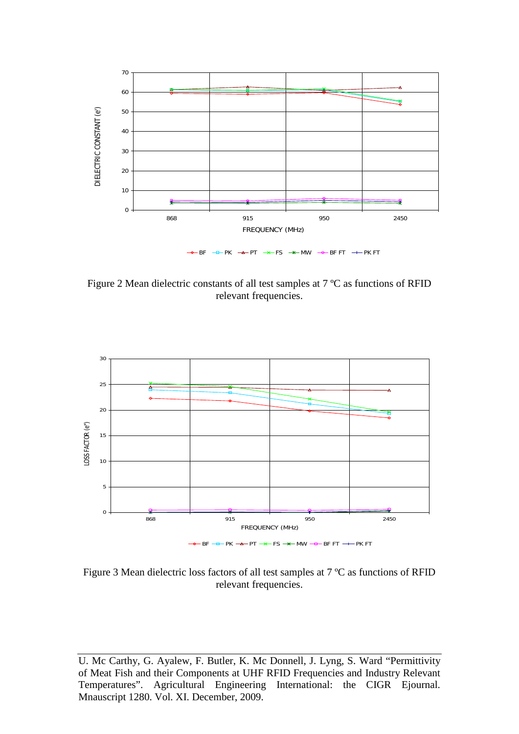

Figure 2 Mean dielectric constants of all test samples at 7 ºC as functions of RFID relevant frequencies.



Figure 3 Mean dielectric loss factors of all test samples at 7 ºC as functions of RFID relevant frequencies.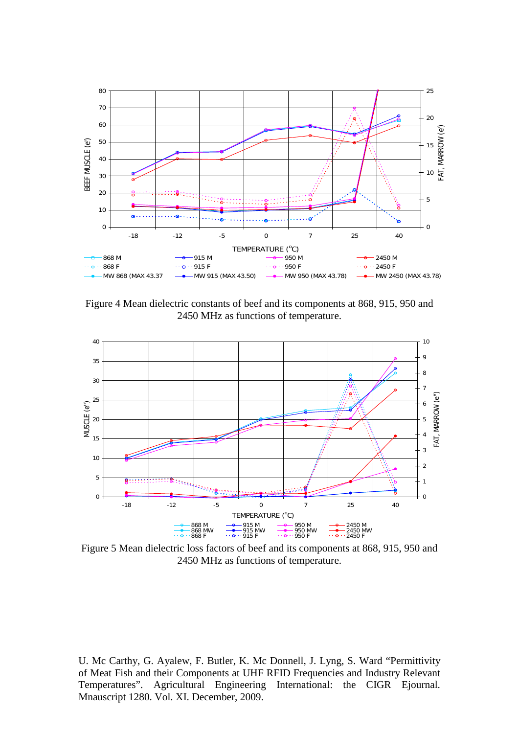

Figure 4 Mean dielectric constants of beef and its components at 868, 915, 950 and 2450 MHz as functions of temperature.



Figure 5 Mean dielectric loss factors of beef and its components at 868, 915, 950 and 2450 MHz as functions of temperature.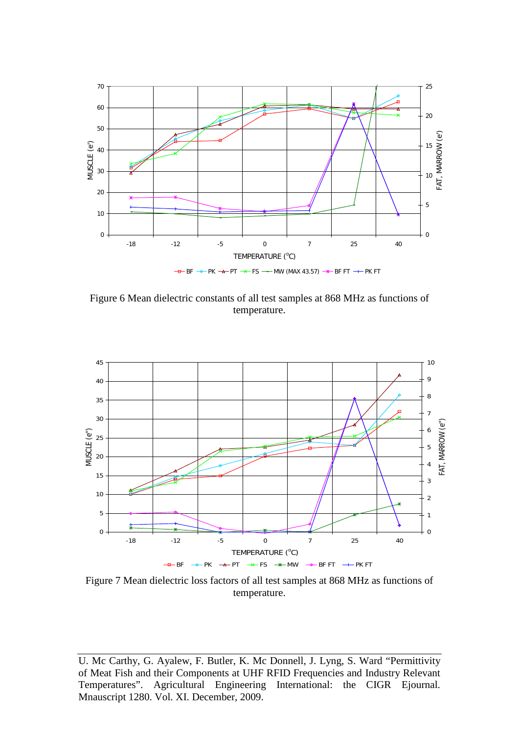

Figure 6 Mean dielectric constants of all test samples at 868 MHz as functions of temperature.



Figure 7 Mean dielectric loss factors of all test samples at 868 MHz as functions of temperature.

U. Mc Carthy, G. Ayalew, F. Butler, K. Mc Donnell, J. Lyng, S. Ward "Permittivity of Meat Fish and their Components at UHF RFID Frequencies and Industry Relevant Temperatures". Agricultural Engineering International: the CIGR Ejournal. Mnauscript 1280. Vol. XI. December, 2009.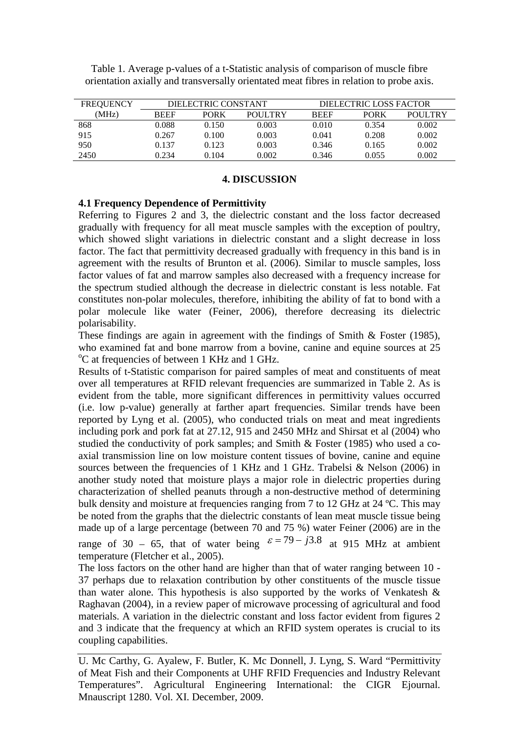| <b>FREQUENCY</b> |             | DIELECTRIC CONSTANT |         | DIELECTRIC LOSS FACTOR |             |                |  |  |  |  |  |  |
|------------------|-------------|---------------------|---------|------------------------|-------------|----------------|--|--|--|--|--|--|
| (MHz             | <b>REEF</b> | <b>PORK</b>         | POULTRY | <b>REEF</b>            | <b>PORK</b> | <b>POULTRY</b> |  |  |  |  |  |  |
| 868              | 0.088       | 0.150               | 0.003   | 0.010                  | 0.354       | 0.002          |  |  |  |  |  |  |
| 915              | 0.267       | 0.100               | 0.003   | 0.041                  | 0.208       | 0.002          |  |  |  |  |  |  |
| 950              | 0.137       | 0.123               | 0.003   | 0.346                  | 0.165       | 0.002          |  |  |  |  |  |  |
| 2450             | 0.234       | 0.104               | 0.002   | 0.346                  | 0.055       | 0.002          |  |  |  |  |  |  |

Table 1. Average p-values of a t-Statistic analysis of comparison of muscle fibre orientation axially and transversally orientated meat fibres in relation to probe axis.

### **4. DISCUSSION**

### **4.1 Frequency Dependence of Permittivity**

Referring to Figures 2 and 3, the dielectric constant and the loss factor decreased gradually with frequency for all meat muscle samples with the exception of poultry, which showed slight variations in dielectric constant and a slight decrease in loss factor. The fact that permittivity decreased gradually with frequency in this band is in agreement with the results of Brunton et al. (2006). Similar to muscle samples, loss factor values of fat and marrow samples also decreased with a frequency increase for the spectrum studied although the decrease in dielectric constant is less notable. Fat constitutes non-polar molecules, therefore, inhibiting the ability of fat to bond with a polar molecule like water (Feiner, 2006), therefore decreasing its dielectric polarisability.

These findings are again in agreement with the findings of Smith & Foster (1985), who examined fat and bone marrow from a bovine, canine and equine sources at 25 <sup>o</sup>C at frequencies of between 1 KHz and 1 GHz.

Results of t-Statistic comparison for paired samples of meat and constituents of meat over all temperatures at RFID relevant frequencies are summarized in Table 2. As is evident from the table, more significant differences in permittivity values occurred (i.e. low p-value) generally at farther apart frequencies. Similar trends have been reported by Lyng et al. (2005), who conducted trials on meat and meat ingredients including pork and pork fat at 27.12, 915 and 2450 MHz and Shirsat et al (2004) who studied the conductivity of pork samples; and Smith & Foster (1985) who used a coaxial transmission line on low moisture content tissues of bovine, canine and equine sources between the frequencies of 1 KHz and 1 GHz. Trabelsi & Nelson (2006) in another study noted that moisture plays a major role in dielectric properties during characterization of shelled peanuts through a non-destructive method of determining bulk density and moisture at frequencies ranging from 7 to 12 GHz at 24 ºC. This may be noted from the graphs that the dielectric constants of lean meat muscle tissue being made up of a large percentage (between 70 and 75 %) water Feiner (2006) are in the range of 30 – 65, that of water being  $\varepsilon = 79 - j3.8$  at 915 MHz at ambient temperature (Fletcher et al., 2005).

The loss factors on the other hand are higher than that of water ranging between 10 - 37 perhaps due to relaxation contribution by other constituents of the muscle tissue than water alone. This hypothesis is also supported by the works of Venkatesh  $\&$ Raghavan (2004), in a review paper of microwave processing of agricultural and food materials. A variation in the dielectric constant and loss factor evident from figures 2 and 3 indicate that the frequency at which an RFID system operates is crucial to its coupling capabilities.

U. Mc Carthy, G. Ayalew, F. Butler, K. Mc Donnell, J. Lyng, S. Ward "Permittivity of Meat Fish and their Components at UHF RFID Frequencies and Industry Relevant Temperatures". Agricultural Engineering International: the CIGR Ejournal. Mnauscript 1280. Vol. XI. December, 2009.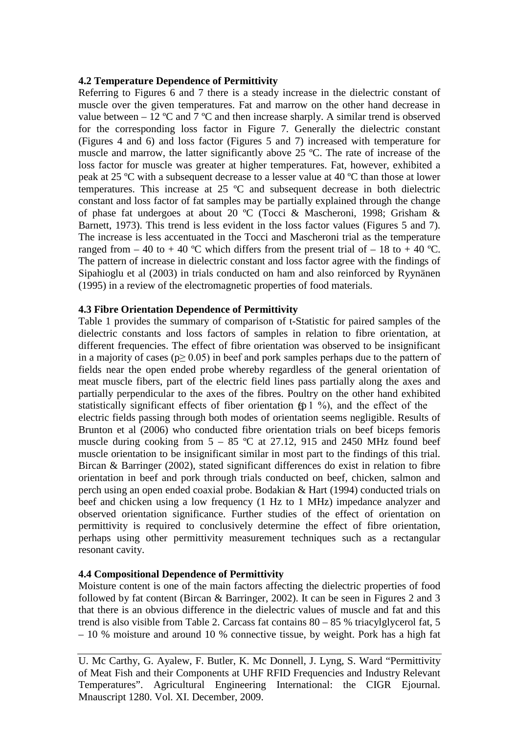### **4.2 Temperature Dependence of Permittivity**

Referring to Figures 6 and 7 there is a steady increase in the dielectric constant of muscle over the given temperatures. Fat and marrow on the other hand decrease in value between – 12 °C and 7 °C and then increase sharply. A similar trend is observed for the corresponding loss factor in Figure 7. Generally the dielectric constant (Figures 4 and 6) and loss factor (Figures 5 and 7) increased with temperature for muscle and marrow, the latter significantly above 25 ºC. The rate of increase of the loss factor for muscle was greater at higher temperatures. Fat, however, exhibited a peak at 25 ºC with a subsequent decrease to a lesser value at 40 ºC than those at lower temperatures. This increase at 25 ºC and subsequent decrease in both dielectric constant and loss factor of fat samples may be partially explained through the change of phase fat undergoes at about 20 ºC (Tocci & Mascheroni, 1998; Grisham & Barnett, 1973). This trend is less evident in the loss factor values (Figures 5 and 7). The increase is less accentuated in the Tocci and Mascheroni trial as the temperature ranged from  $-40$  to  $+40$  °C which differs from the present trial of  $-18$  to  $+40$  °C. The pattern of increase in dielectric constant and loss factor agree with the findings of Sipahioglu et al (2003) in trials conducted on ham and also reinforced by Ryynänen (1995) in a review of the electromagnetic properties of food materials.

### **4.3 Fibre Orientation Dependence of Permittivity**

Table 1 provides the summary of comparison of t-Statistic for paired samples of the dielectric constants and loss factors of samples in relation to fibre orientation, at different frequencies. The effect of fibre orientation was observed to be insignificant in a majority of cases ( $p \ge 0.05$ ) in beef and pork samples perhaps due to the pattern of fields near the open ended probe whereby regardless of the general orientation of meat muscle fibers, part of the electric field lines pass partially along the axes and partially perpendicular to the axes of the fibres. Poultry on the other hand exhibited statistically significant effects of fiber orientation  $(p 1 \%)$ , and the effect of the electric fields passing through both modes of orientation seems negligible. Results of Brunton et al (2006) who conducted fibre orientation trials on beef biceps femoris muscle during cooking from  $5 - 85$  °C at 27.12, 915 and 2450 MHz found beef muscle orientation to be insignificant similar in most part to the findings of this trial. Bircan & Barringer (2002), stated significant differences do exist in relation to fibre orientation in beef and pork through trials conducted on beef, chicken, salmon and perch using an open ended coaxial probe. Bodakian & Hart (1994) conducted trials on beef and chicken using a low frequency (1 Hz to 1 MHz) impedance analyzer and observed orientation significance. Further studies of the effect of orientation on permittivity is required to conclusively determine the effect of fibre orientation, perhaps using other permittivity measurement techniques such as a rectangular resonant cavity.

### **4.4 Compositional Dependence of Permittivity**

Moisture content is one of the main factors affecting the dielectric properties of food followed by fat content (Bircan & Barringer, 2002). It can be seen in Figures 2 and 3 that there is an obvious difference in the dielectric values of muscle and fat and this trend is also visible from Table 2. Carcass fat contains 80 – 85 % triacylglycerol fat, 5 – 10 % moisture and around 10 % connective tissue, by weight. Pork has a high fat

U. Mc Carthy, G. Ayalew, F. Butler, K. Mc Donnell, J. Lyng, S. Ward "Permittivity of Meat Fish and their Components at UHF RFID Frequencies and Industry Relevant Temperatures". Agricultural Engineering International: the CIGR Ejournal. Mnauscript 1280. Vol. XI. December, 2009.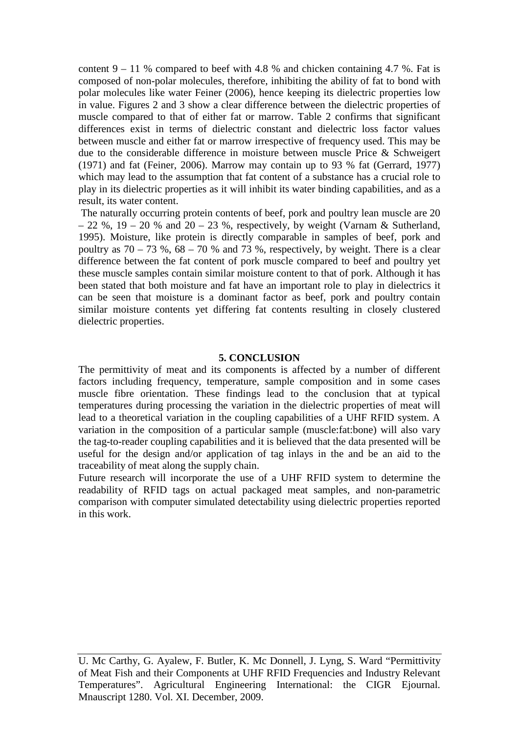content  $9 - 11$  % compared to beef with 4.8 % and chicken containing 4.7 %. Fat is composed of non-polar molecules, therefore, inhibiting the ability of fat to bond with polar molecules like water Feiner (2006), hence keeping its dielectric properties low in value. Figures 2 and 3 show a clear difference between the dielectric properties of muscle compared to that of either fat or marrow. Table 2 confirms that significant differences exist in terms of dielectric constant and dielectric loss factor values between muscle and either fat or marrow irrespective of frequency used. This may be due to the considerable difference in moisture between muscle Price & Schweigert (1971) and fat (Feiner, 2006). Marrow may contain up to 93 % fat (Gerrard, 1977) which may lead to the assumption that fat content of a substance has a crucial role to play in its dielectric properties as it will inhibit its water binding capabilities, and as a result, its water content.

The naturally occurring protein contents of beef, pork and poultry lean muscle are 20 – 22 %, 19 – 20 % and 20 – 23 %, respectively, by weight (Varnam & Sutherland, 1995). Moisture, like protein is directly comparable in samples of beef, pork and poultry as  $70 - 73$  %,  $68 - 70$  % and 73 %, respectively, by weight. There is a clear difference between the fat content of pork muscle compared to beef and poultry yet these muscle samples contain similar moisture content to that of pork. Although it has been stated that both moisture and fat have an important role to play in dielectrics it can be seen that moisture is a dominant factor as beef, pork and poultry contain similar moisture contents yet differing fat contents resulting in closely clustered dielectric properties.

### **5. CONCLUSION**

The permittivity of meat and its components is affected by a number of different factors including frequency, temperature, sample composition and in some cases muscle fibre orientation. These findings lead to the conclusion that at typical temperatures during processing the variation in the dielectric properties of meat will lead to a theoretical variation in the coupling capabilities of a UHF RFID system. A variation in the composition of a particular sample (muscle:fat:bone) will also vary the tag-to-reader coupling capabilities and it is believed that the data presented will be useful for the design and/or application of tag inlays in the and be an aid to the traceability of meat along the supply chain.

Future research will incorporate the use of a UHF RFID system to determine the readability of RFID tags on actual packaged meat samples, and non-parametric comparison with computer simulated detectability using dielectric properties reported in this work.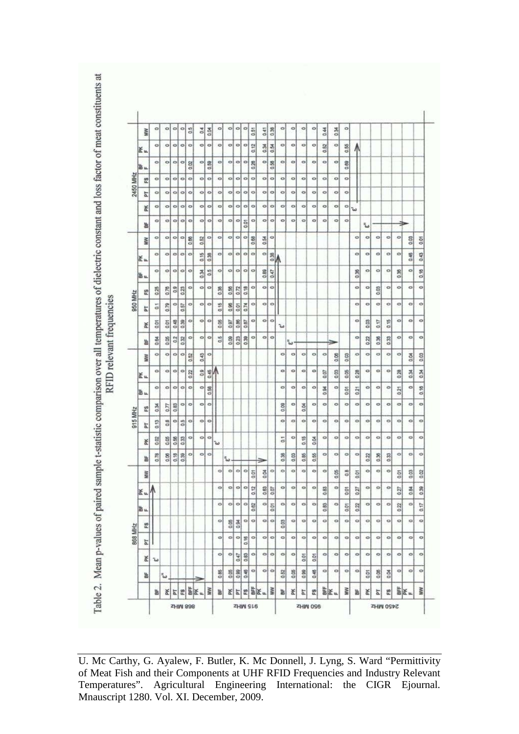Table 2. Mean p-values of paired sample t-statistic comparison over all temperatures of dielectric constant and loss factor of meat constituents at nrm<sub>-1</sub>

|          |                | 붑             |         |                 |                  |                         |                  |                         | 놂                       |                | 티점                      | 찞               |                   |         |                                    | 뉢              | FK      | 히       | 쭚       |                   |                      |              | 놂                  | 푔             | 뇌       | 箆           |                 |                    |
|----------|----------------|---------------|---------|-----------------|------------------|-------------------------|------------------|-------------------------|-------------------------|----------------|-------------------------|-----------------|-------------------|---------|------------------------------------|----------------|---------|---------|---------|-------------------|----------------------|--------------|--------------------|---------------|---------|-------------|-----------------|--------------------|
|          | 崮              |               | تى "    |                 |                  |                         | 못 본 또 黑못 "       | š                       | 0.85                    |                | 888                     | 0.45            | $\circ$           | 품 / E u | $\overline{M}$                     | 0.52           | 0.05    | 0.99    | 0.46    | $\circ$           | $\circ$<br>齿<br>Ka u | $\circ$<br>š |                    | 0.01          | 0.08    | $rac{8}{2}$ | ⊸∣              | 동 K u              |
|          |                | 面記            |         |                 |                  |                         |                  |                         | $\circ$                 |                | 0.47                    | 0.83            | $\circ$           |         | $\circ$ $\circ$<br>$\circ$ $\circ$ | $\circ$        | $\circ$ | 0.01    | 0.01    | ۰                 | $\circ$              | $\circ$      | $\circ$<br>$\circ$ | $\circ$       | 이       | $\circ$     | $\circ$         | $\circ$<br>$\circ$ |
|          | 히              |               |         |                 |                  |                         |                  |                         | $\circ$                 |                | $\circ$ $\circ$ $\circ$ | ø               | $\circ$           |         | $\circ$ $\circ$                    | $\circ$        | $\circ$ | $\circ$ | $\circ$ | $\circ$           | $\circ$              | $\circ$      | $\circ$            | $\circ$       | $\circ$ | $\circ$     | $\circ$         | $\circ$            |
| 868 MHz  | 53             |               |         |                 |                  |                         |                  |                         | $\circ$                 |                | 8 a                     |                 | $\circ$ $\circ$   |         | $\circ$ $\circ$                    | 0.03           | 이       | $\circ$ | $\circ$ | $\circ$           | $\circ$              | $\circ$      | $\circ$            |               | $\circ$ | $\circ$     |                 | o)                 |
|          | 面 u            |               |         |                 |                  |                         |                  |                         | $\circ$                 |                | $\circ$ $\circ$ $\circ$ |                 | 0.62              | $\circ$ | 0.01                               | $\circ$        | $\circ$ | $\circ$ | $\circ$ | 0.83              | $\circ$              | 0.01         | 0.22               | əļ<br>$\circ$ | 이       | $\circ$     | 0.22<br>$\circ$ | $\circ$            |
|          | $K_{\mu}$      | İA            |         |                 |                  |                         |                  |                         | $\circ$                 |                | $\circ$ $\circ$ $\circ$ |                 | $\mathbf{S}$<br>ø |         | $\frac{0.63}{0.07}$                | $\circ$        | $\circ$ | $\circ$ | $\circ$ | $\mathbb{Z}$<br>ø | $\circ$              | 0.01         | 0.27               | $\circ$       | $\circ$ | $\circ$     | 0.27            | 0.84               |
|          | NW <sub></sub> |               |         |                 |                  |                         |                  |                         | $\circ$                 | $\circ$        |                         | $\circ$ $\circ$ | 0.07              | 0.04    | $\circ$                            | $\circ$        | $\circ$ | $\circ$ | $\circ$ | $\circ$           | 0.05                 | 0.8          | 0.01               | $\circ$       | ol      | $\circ$     | 0.01            | 0.03               |
|          | 눕              | 0.78          | 0.08    | 0.18            | 8                | $\circ$                 |                  |                         |                         | ى؟             |                         |                 |                   |         |                                    | 0.38           | 0.03    | 0.85    | 0.55    | $\circ$           | 이                    | $\circ$      | $\circ$            | 0.22          | 0.36    | 0.33        | $\circ$         |                    |
|          | 레              | 0.02          |         | $rac{8}{0}$     | 0.33             | $\circ$                 |                  | $\circ$ $\circ$<br> 0 0 | ىئ                      |                |                         |                 |                   |         |                                    | $\overline{5}$ | $\circ$ | 0.15    | 0.04    | $\circ$           | $\circ$              | $\circ$      | $\circ$            | $\circ$       | $\circ$ | $\circ$     | $\circ$         | $\circ$<br>$\circ$ |
|          | E              | 0.13          | 0.8     | $\circ$         | 0.5              | $\circ$                 | $\circ$          | $\circ$                 |                         |                |                         |                 |                   |         |                                    | $\circ$        | $\circ$ | $\circ$ | $\circ$ | $\circ$           | ۰                    | $\circ$      | $\circ$            | $\circ$       | $\circ$ | $\circ$     | $\circ$         | $\circ$            |
| 915 MHz  | 뜂              | 89            | 11/0    | 0.83            |                  | $\circ$ $\circ$         | $\circ$          | $\circ$                 |                         |                |                         |                 |                   |         |                                    | 8<br>ó         | $\circ$ | 0.04    | $\circ$ | $\circ$           | $\circ$              | $\circ$      | $\circ$            | $\circ$       | $\circ$ | $\circ$     | $\circ$         | $\circ$            |
|          | 苗山             | $\circ$       | $\circ$ | $\circ$         |                  | 0 0                     | $\circ$          | $\mathbf{z}$<br>ø       |                         |                |                         |                 |                   |         |                                    | $\circ$        | $\circ$ | $\circ$ | $\circ$ | <b>B.SC</b>       | $\circ$              | 0.01         | 0.21               | $\circ$       | ۰I      | $\circ$     | 0.21            | $\circ$            |
|          | ăμ             | ŏ۱            | $\circ$ |                 | 0 0              | 0.22                    | 0.9              |                         | $\sqrt[4]{\frac{2}{5}}$ |                |                         |                 |                   |         |                                    | $\circ$        | $\circ$ | ۰I      | $\circ$ | 0.07              | 0.03                 | 0.05         | 0.28               | $\circ$       | ۰I      | $\circ$     | 0.28            | 34                 |
|          | š              | $\circ$       | $\circ$ | $\circ$         | $\circ$          | 0.52                    | $^{0.43}$        | $\circ$                 |                         |                |                         |                 |                   |         |                                    | $\circ$        | ۰       | $\circ$ | $\circ$ | $\circ$           | 0.08                 | 0.03         | $\circ$            | o)            | $\circ$ | $\circ$     | $\circ$         | $\frac{3}{2}$      |
|          | 뇖              | 0.64          | 0.05    | $\frac{3}{2}$   | 0.32             | $\circ$                 |                  | 0 0                     | $\frac{6}{3}$           | 0.09           | 0.23                    | 0.39            | $\circ$           |         | $\circ$ $\circ$                    |                | ₩       |         |         |                   | ∍                    |              | $\circ$            | 0.22          | 0.36    | 0.33        | $\circ$         | $\circ$            |
|          | 뙷              | 0.01          | 0.01    | 0.48            | 0.39             | $\circ$                 |                  | $\circ$ $\circ$         | 0.05                    | 0.97           | 0.86                    | 0.67            | $\circ$           |         | $\circ$ $\circ$                    | ستآ            |         |         |         |                   |                      |              | $\circ$            | S.<br>ø       | 0.17    | 0.15        | $\circ$         | ۰                  |
|          | 缸              | 히             | 0.79    |                 | $\frac{0}{0.57}$ | $\circ$                 |                  | 0                       | 0.15                    | $\frac{8}{10}$ | 0.01                    | 0.74            | $\circ$           |         | 0                                  |                |         |         |         |                   |                      |              | $\circ$            | $\circ$       | oļ      | $\circ$     | $\circ$         | $\circ$            |
| 950 MHz  | 찞              | 0.25          | 0.78    | $\frac{9}{6}$   | 0.23             | o                       |                  | 0 0                     | 0.36                    | 8              | 0.72                    | 0.18            | $\circ$           |         | $\circ$ $\circ$                    |                |         |         |         |                   |                      |              | $\circ$            | $\circ$       | 0.03    | $\circ$     | ۰               | $\circ$            |
|          | ا¥ سا          | $\circ$       |         | $\circ$ $\circ$ |                  | $\circ$ $\circ$         | 0.34             | 0.5                     | $\circ$                 |                | $\circ$ $\circ$         | $\circ$         | $\circ$           |         | 0.47                               |                |         |         |         |                   |                      |              | 0.36               | $\circ$       | οj      | $\circ$     | 0.36            | $\circ$            |
|          | Ă۳             | $\circ$       | $\circ$ |                 |                  | $\circ$ $\circ$ $\circ$ | 0.15             | 0.38                    | $\circ$                 |                | $\circ$ $\circ$         | $\circ$         | $\circ$           | $\circ$ | $\frac{8}{9}$                      |                |         |         |         |                   |                      |              | $\circ$            | $\circ$       | ö       | $\circ$     | $\circ$         | 堰<br>ø             |
|          | WW.            | $\circ$       | $\circ$ | $\circ$         | $\circ$          | 8                       | 0.52             | $\circ$                 | $\circ$                 | $\circ$        | $\circ$                 | $\circ$         | 0.68              | 0.54    | $\circ$                            |                |         |         |         |                   |                      |              | $\circ$            | $\circ$       | $\circ$ | $\circ$     | $\circ$         | 0.03               |
|          | 旨              | ۰I            |         |                 |                  | $\circ$ $\circ$ $\circ$ |                  | $\circ$ $\circ$         | $\circ$                 |                | 0 0                     | 0.DT            | $\circ$           |         | 0 0                                | $\circ$        | $\circ$ | $\circ$ | $\circ$ | $\circ$           | $\circ$              | $\circ$      |                    | ىية           |         |             |                 |                    |
|          | FK.            | ۰I            | $\circ$ | $\circ$         | $\circ$          | $\circ$                 | $\circ$          | $\circ$                 | $\circ$                 | $\circ$        | $\circ$                 | $\circ$         | $\circ$           |         | 0                                  | 이              | $\circ$ | $\circ$ | $\circ$ | ۰                 | $\circ$              | $\circ$      | w                  |               |         |             |                 |                    |
|          | E              | $\circ$       | $\circ$ | $\circ$         | $\circ$          | $\circ$                 | $\ddot{\circ}$   | $\circ$                 | $\circ$                 | ۰I             | $\circ$                 | $\circ$         | $\circ$           |         | 0                                  | $\circ$        | $\circ$ | $\circ$ | ö       | $\circ$           | $\circ$              | $\circ$      |                    |               |         |             |                 |                    |
| 2450 MHz | 옚              | $\frac{1}{2}$ | $\circ$ | $\circ$         |                  | $\circ$ $\circ$         |                  | $\circ$ $\circ$         | $\circ$                 | $\circ$        | $\circ$                 | $\circ$         | $\circ$           |         | $\circ$ $\circ$                    | $\circ$        | $\circ$ | $\circ$ | $\circ$ | $\circ$           | $\circ$              | $\circ$      |                    |               |         |             |                 |                    |
|          | 齿 u            | ۰I            | $\circ$ | $\circ$         | $\circ$          | 0.02                    | $\circ$          | 0.59                    | $\circ$                 |                | $\circ$ $\circ$         | $\circ$         | 0.26              | $\circ$ | 0.56                               | 이              | $\circ$ | $\circ$ | $\circ$ | $\circ$           | $\circ$              | 0.69         |                    |               |         |             |                 |                    |
|          | Eш.            | 이             | G       | o               | $\circ$          | $\circ$                 | ۰                | $\circ$                 | $\circ$                 | $\circ$        | $\circ$                 | $\circ$         | 0.12              |         | 33.5                               | ۰I             | $\circ$ | $\circ$ | $\circ$ | S<br>ø            | $\circ$              | 0.55         |                    |               |         |             |                 |                    |
|          | š              | o             | $\circ$ | $\circ$         | $\circ$          | 0.5                     | $\overline{0.4}$ | 0.DA                    | $\circ$                 | $\circ$        | $\circ$                 | $\circ$         | 0.51              | 0.41    | 0.38                               | $\circ$        | $\circ$ | $\circ$ | ۰       | 0.44              | 34                   | $\circ$      |                    |               |         |             |                 |                    |

U. Mc Carthy, G. Ayalew, F. Butler, K. Mc Donnell, J. Lyng, S. Ward "Permittivity of Meat Fish and their Components at UHF RFID Frequencies and Industry Relevant Temperatures". Agricultural Engineering International: the CIGR Ejournal. Mnauscript 1280. Vol. XI. December, 2009.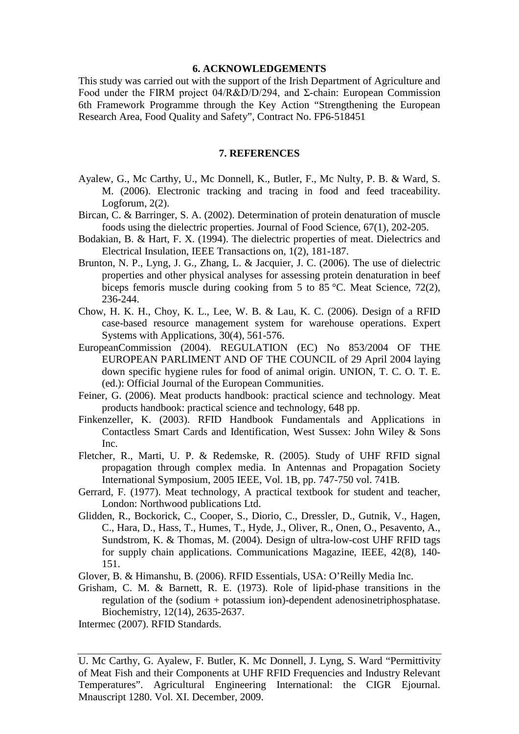#### **6. ACKNOWLEDGEMENTS**

This study was carried out with the support of the Irish Department of Agriculture and Food under the FIRM project 04/R&D/D/294, and Σ-chain: European Commission 6th Framework Programme through the Key Action "Strengthening the European Research Area, Food Quality and Safety", Contract No. FP6-518451

#### **7. REFERENCES**

- Ayalew, G., Mc Carthy, U., Mc Donnell, K., Butler, F., Mc Nulty, P. B. & Ward, S. M. (2006). Electronic tracking and tracing in food and feed traceability. Logforum, 2(2).
- Bircan, C. & Barringer, S. A. (2002). Determination of protein denaturation of muscle foods using the dielectric properties. Journal of Food Science, 67(1), 202-205.
- Bodakian, B. & Hart, F. X. (1994). The dielectric properties of meat. Dielectrics and Electrical Insulation, IEEE Transactions on, 1(2), 181-187.
- Brunton, N. P., Lyng, J. G., Zhang, L. & Jacquier, J. C. (2006). The use of dielectric properties and other physical analyses for assessing protein denaturation in beef biceps femoris muscle during cooking from 5 to 85 °C. Meat Science, 72(2), 236-244.
- Chow, H. K. H., Choy, K. L., Lee, W. B. & Lau, K. C. (2006). Design of a RFID case-based resource management system for warehouse operations. Expert Systems with Applications, 30(4), 561-576.
- EuropeanCommission (2004). REGULATION (EC) No 853/2004 OF THE EUROPEAN PARLIMENT AND OF THE COUNCIL of 29 April 2004 laying down specific hygiene rules for food of animal origin. UNION, T. C. O. T. E. (ed.): Official Journal of the European Communities.
- Feiner, G. (2006). Meat products handbook: practical science and technology. Meat products handbook: practical science and technology, 648 pp.
- Finkenzeller, K. (2003). RFID Handbook Fundamentals and Applications in Contactless Smart Cards and Identification, West Sussex: John Wiley & Sons Inc.
- Fletcher, R., Marti, U. P. & Redemske, R. (2005). Study of UHF RFID signal propagation through complex media. In Antennas and Propagation Society International Symposium, 2005 IEEE, Vol. 1B, pp. 747-750 vol. 741B.
- Gerrard, F. (1977). Meat technology, A practical textbook for student and teacher, London: Northwood publications Ltd.
- Glidden, R., Bockorick, C., Cooper, S., Diorio, C., Dressler, D., Gutnik, V., Hagen, C., Hara, D., Hass, T., Humes, T., Hyde, J., Oliver, R., Onen, O., Pesavento, A., Sundstrom, K. & Thomas, M. (2004). Design of ultra-low-cost UHF RFID tags for supply chain applications. Communications Magazine, IEEE, 42(8), 140- 151.
- Glover, B. & Himanshu, B. (2006). RFID Essentials, USA: O'Reilly Media Inc.
- Grisham, C. M. & Barnett, R. E. (1973). Role of lipid-phase transitions in the regulation of the (sodium + potassium ion)-dependent adenosinetriphosphatase. Biochemistry, 12(14), 2635-2637.
- Intermec (2007). RFID Standards.

U. Mc Carthy, G. Ayalew, F. Butler, K. Mc Donnell, J. Lyng, S. Ward "Permittivity of Meat Fish and their Components at UHF RFID Frequencies and Industry Relevant Temperatures". Agricultural Engineering International: the CIGR Ejournal. Mnauscript 1280. Vol. XI. December, 2009.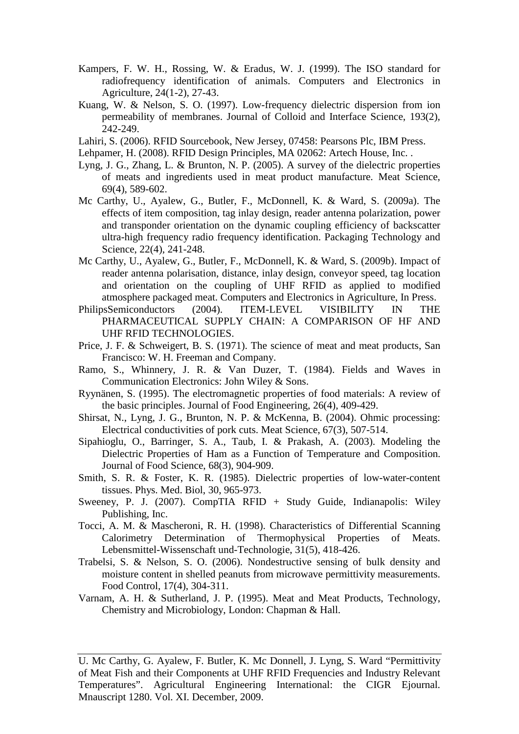- Kampers, F. W. H., Rossing, W. & Eradus, W. J. (1999). The ISO standard for radiofrequency identification of animals. Computers and Electronics in Agriculture, 24(1-2), 27-43.
- Kuang, W. & Nelson, S. O. (1997). Low-frequency dielectric dispersion from ion permeability of membranes. Journal of Colloid and Interface Science, 193(2), 242-249.
- Lahiri, S. (2006). RFID Sourcebook, New Jersey, 07458: Pearsons Plc, IBM Press.
- Lehpamer, H. (2008). RFID Design Principles, MA 02062: Artech House, Inc. .
- Lyng, J. G., Zhang, L. & Brunton, N. P. (2005). A survey of the dielectric properties of meats and ingredients used in meat product manufacture. Meat Science, 69(4), 589-602.
- Mc Carthy, U., Ayalew, G., Butler, F., McDonnell, K. & Ward, S. (2009a). The effects of item composition, tag inlay design, reader antenna polarization, power and transponder orientation on the dynamic coupling efficiency of backscatter ultra-high frequency radio frequency identification. Packaging Technology and Science, 22(4), 241-248.
- Mc Carthy, U., Ayalew, G., Butler, F., McDonnell, K. & Ward, S. (2009b). Impact of reader antenna polarisation, distance, inlay design, conveyor speed, tag location and orientation on the coupling of UHF RFID as applied to modified atmosphere packaged meat. Computers and Electronics in Agriculture, In Press.
- PhilipsSemiconductors (2004). ITEM-LEVEL VISIBILITY IN THE PHARMACEUTICAL SUPPLY CHAIN: A COMPARISON OF HF AND UHF RFID TECHNOLOGIES.
- Price, J. F. & Schweigert, B. S. (1971). The science of meat and meat products, San Francisco: W. H. Freeman and Company.
- Ramo, S., Whinnery, J. R. & Van Duzer, T. (1984). Fields and Waves in Communication Electronics: John Wiley & Sons.
- Ryynänen, S. (1995). The electromagnetic properties of food materials: A review of the basic principles. Journal of Food Engineering, 26(4), 409-429.
- Shirsat, N., Lyng, J. G., Brunton, N. P. & McKenna, B. (2004). Ohmic processing: Electrical conductivities of pork cuts. Meat Science, 67(3), 507-514.
- Sipahioglu, O., Barringer, S. A., Taub, I. & Prakash, A. (2003). Modeling the Dielectric Properties of Ham as a Function of Temperature and Composition. Journal of Food Science, 68(3), 904-909.
- Smith, S. R. & Foster, K. R. (1985). Dielectric properties of low-water-content tissues. Phys. Med. Biol, 30, 965-973.
- Sweeney, P. J. (2007). CompTIA RFID + Study Guide, Indianapolis: Wiley Publishing, Inc.
- Tocci, A. M. & Mascheroni, R. H. (1998). Characteristics of Differential Scanning Calorimetry Determination of Thermophysical Properties of Meats. Lebensmittel-Wissenschaft und-Technologie, 31(5), 418-426.
- Trabelsi, S. & Nelson, S. O. (2006). Nondestructive sensing of bulk density and moisture content in shelled peanuts from microwave permittivity measurements. Food Control, 17(4), 304-311.
- Varnam, A. H. & Sutherland, J. P. (1995). Meat and Meat Products, Technology, Chemistry and Microbiology, London: Chapman & Hall.

U. Mc Carthy, G. Ayalew, F. Butler, K. Mc Donnell, J. Lyng, S. Ward "Permittivity of Meat Fish and their Components at UHF RFID Frequencies and Industry Relevant Temperatures". Agricultural Engineering International: the CIGR Ejournal. Mnauscript 1280. Vol. XI. December, 2009.